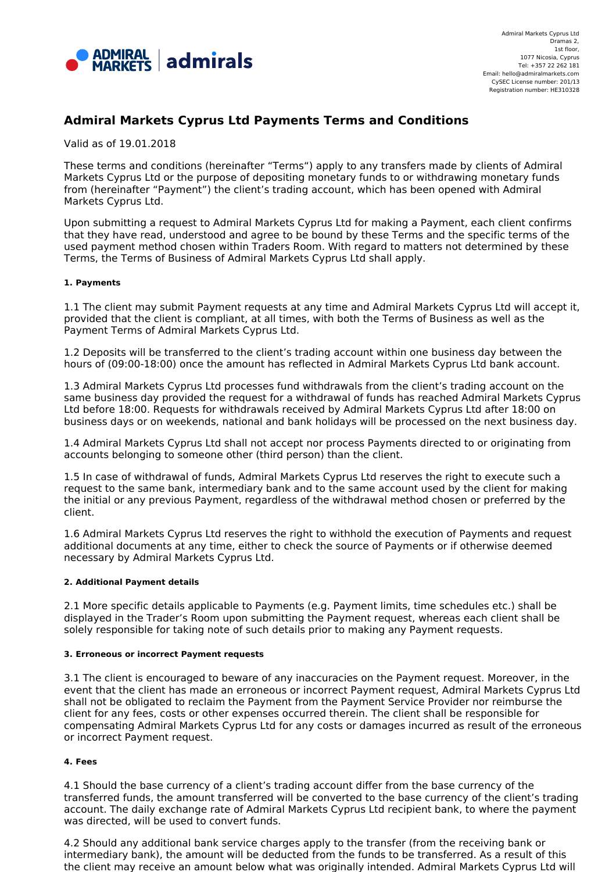

# **Admiral Markets Cyprus Ltd Payments Terms and Conditions**

Valid as of 19.01.2018

These terms and conditions (hereinafter "Terms") apply to any transfers made by clients of Admiral Markets Cyprus Ltd or the purpose of depositing monetary funds to or withdrawing monetary funds from (hereinafter "Payment") the client's trading account, which has been opened with Admiral Markets Cyprus Ltd.

Upon submitting a request to Admiral Markets Cyprus Ltd for making a Payment, each client confirms that they have read, understood and agree to be bound by these Terms and the specific terms of the used payment method chosen within Traders Room. With regard to matters not determined by these Terms, the Terms of Business of Admiral Markets Cyprus Ltd shall apply.

# **1. Payments**

1.1 The client may submit Payment requests at any time and Admiral Markets Cyprus Ltd will accept it, provided that the client is compliant, at all times, with both the Terms of Business as well as the Payment Terms of Admiral Markets Cyprus Ltd.

1.2 Deposits will be transferred to the client's trading account within one business day between the hours of (09:00-18:00) once the amount has reflected in Admiral Markets Cyprus Ltd bank account.

1.3 Admiral Markets Cyprus Ltd processes fund withdrawals from the client's trading account on the same business day provided the request for a withdrawal of funds has reached Admiral Markets Cyprus Ltd before 18:00. Requests for withdrawals received by Admiral Markets Cyprus Ltd after 18:00 on business days or on weekends, national and bank holidays will be processed on the next business day.

1.4 Admiral Markets Cyprus Ltd shall not accept nor process Payments directed to or originating from accounts belonging to someone other (third person) than the client.

1.5 In case of withdrawal of funds, Admiral Markets Cyprus Ltd reserves the right to execute such a request to the same bank, intermediary bank and to the same account used by the client for making the initial or any previous Payment, regardless of the withdrawal method chosen or preferred by the client.

1.6 Admiral Markets Cyprus Ltd reserves the right to withhold the execution of Payments and request additional documents at any time, either to check the source of Payments or if otherwise deemed necessary by Admiral Markets Cyprus Ltd.

# **2. Additional Payment details**

2.1 More specific details applicable to Payments (e.g. Payment limits, time schedules etc.) shall be displayed in the Trader's Room upon submitting the Payment request, whereas each client shall be solely responsible for taking note of such details prior to making any Payment requests.

#### **3. Erroneous or incorrect Payment requests**

3.1 The client is encouraged to beware of any inaccuracies on the Payment request. Moreover, in the event that the client has made an erroneous or incorrect Payment request, Admiral Markets Cyprus Ltd shall not be obligated to reclaim the Payment from the Payment Service Provider nor reimburse the client for any fees, costs or other expenses occurred therein. The client shall be responsible for compensating Admiral Markets Cyprus Ltd for any costs or damages incurred as result of the erroneous or incorrect Payment request.

# **4. Fees**

4.1 Should the base currency of a client's trading account differ from the base currency of the transferred funds, the amount transferred will be converted to the base currency of the client's trading account. The daily exchange rate of Admiral Markets Cyprus Ltd recipient bank, to where the payment was directed, will be used to convert funds.

4.2 Should any additional bank service charges apply to the transfer (from the receiving bank or intermediary bank), the amount will be deducted from the funds to be transferred. As a result of this the client may receive an amount below what was originally intended. Admiral Markets Cyprus Ltd will